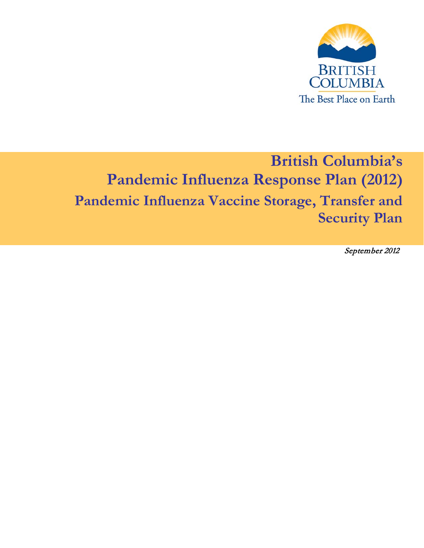

# **British Columbia's Pandemic Influenza Response Plan (2012) Pandemic Influenza Vaccine Storage, Transfer and Security Plan**

September 2012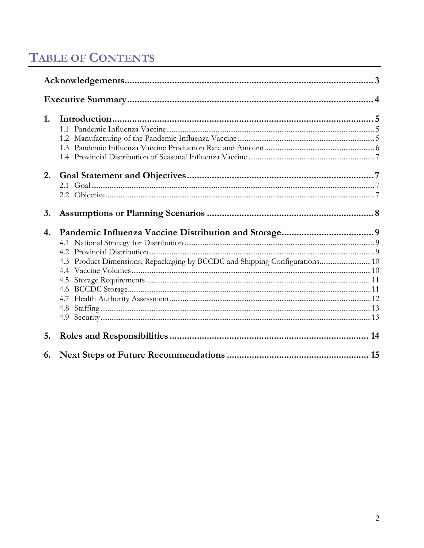# **TABLE OF CONTENTS**

| 1. |                                                                             |  |  |  |
|----|-----------------------------------------------------------------------------|--|--|--|
|    | 11                                                                          |  |  |  |
|    |                                                                             |  |  |  |
|    |                                                                             |  |  |  |
|    |                                                                             |  |  |  |
|    |                                                                             |  |  |  |
|    |                                                                             |  |  |  |
|    |                                                                             |  |  |  |
| 3. |                                                                             |  |  |  |
|    |                                                                             |  |  |  |
| 4. |                                                                             |  |  |  |
|    |                                                                             |  |  |  |
|    |                                                                             |  |  |  |
|    |                                                                             |  |  |  |
|    | 4.3 Product Dimensions, Repackaging by BCCDC and Shipping Configurations 10 |  |  |  |
|    |                                                                             |  |  |  |
|    |                                                                             |  |  |  |
|    |                                                                             |  |  |  |
|    |                                                                             |  |  |  |
|    |                                                                             |  |  |  |
| 5. |                                                                             |  |  |  |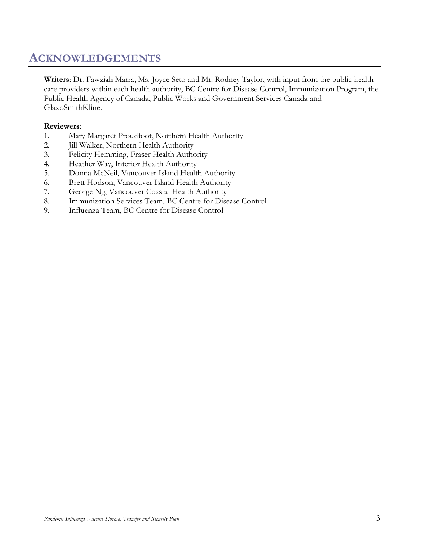### <span id="page-2-0"></span>**ACKNOWLEDGEMENTS**

**Writers**: Dr. Fawziah Marra, Ms. Joyce Seto and Mr. Rodney Taylor, with input from the public health care providers within each health authority, BC Centre for Disease Control, Immunization Program, the Public Health Agency of Canada, Public Works and Government Services Canada and GlaxoSmithKline.

#### **Reviewers**:

- 1. Mary Margaret Proudfoot, Northern Health Authority
- 2. Jill Walker, Northern Health Authority
- 3. Felicity Hemming, Fraser Health Authority
- 4. Heather Way, Interior Health Authority
- 5. Donna McNeil, Vancouver Island Health Authority
- 6. Brett Hodson, Vancouver Island Health Authority
- 7. George Ng, Vancouver Coastal Health Authority
- 8. Immunization Services Team, BC Centre for Disease Control
- 9. Influenza Team, BC Centre for Disease Control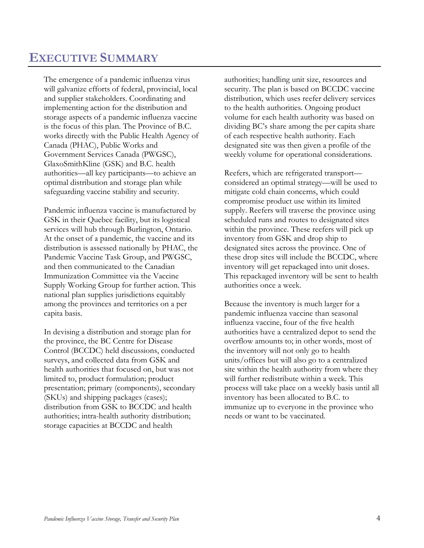### <span id="page-3-0"></span>**EXECUTIVE SUMMARY**

The emergence of a pandemic influenza virus will galvanize efforts of federal, provincial, local and supplier stakeholders. Coordinating and implementing action for the distribution and storage aspects of a pandemic influenza vaccine is the focus of this plan. The Province of B.C. works directly with the Public Health Agency of Canada (PHAC), Public Works and Government Services Canada (PWGSC), GlaxoSmithKline (GSK) and B.C. health authorities—all key participants—to achieve an optimal distribution and storage plan while safeguarding vaccine stability and security.

Pandemic influenza vaccine is manufactured by GSK in their Quebec facility, but its logistical services will hub through Burlington, Ontario. At the onset of a pandemic, the vaccine and its distribution is assessed nationally by PHAC, the Pandemic Vaccine Task Group, and PWGSC, and then communicated to the Canadian Immunization Committee via the Vaccine Supply Working Group for further action. This national plan supplies jurisdictions equitably among the provinces and territories on a per capita basis.

In devising a distribution and storage plan for the province, the BC Centre for Disease Control (BCCDC) held discussions, conducted surveys, and collected data from GSK and health authorities that focused on, but was not limited to, product formulation; product presentation; primary (components), secondary (SKUs) and shipping packages (cases); distribution from GSK to BCCDC and health authorities; intra-health authority distribution; storage capacities at BCCDC and health

authorities; handling unit size, resources and security. The plan is based on BCCDC vaccine distribution, which uses reefer delivery services to the health authorities. Ongoing product volume for each health authority was based on dividing BC's share among the per capita share of each respective health authority. Each designated site was then given a profile of the weekly volume for operational considerations.

Reefers, which are refrigerated transport considered an optimal strategy—will be used to mitigate cold chain concerns, which could compromise product use within its limited supply. Reefers will traverse the province using scheduled runs and routes to designated sites within the province. These reefers will pick up inventory from GSK and drop ship to designated sites across the province. One of these drop sites will include the BCCDC, where inventory will get repackaged into unit doses. This repackaged inventory will be sent to health authorities once a week.

Because the inventory is much larger for a pandemic influenza vaccine than seasonal influenza vaccine, four of the five health authorities have a centralized depot to send the overflow amounts to; in other words, most of the inventory will not only go to health units/offices but will also go to a centralized site within the health authority from where they will further redistribute within a week. This process will take place on a weekly basis until all inventory has been allocated to B.C. to immunize up to everyone in the province who needs or want to be vaccinated.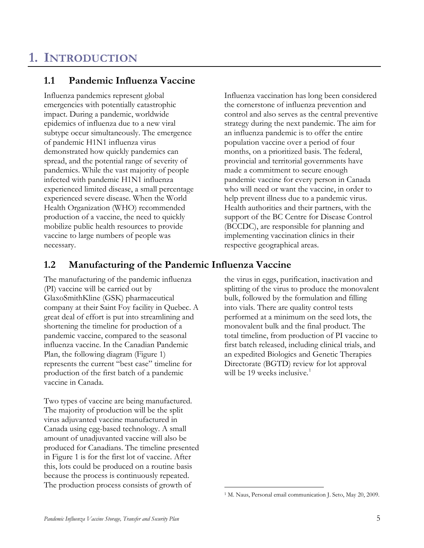### <span id="page-4-0"></span>**1. INTRODUCTION**

### <span id="page-4-1"></span>**1.1 Pandemic Influenza Vaccine**

Influenza pandemics represent global emergencies with potentially catastrophic impact. During a pandemic, worldwide epidemics of influenza due to a new viral subtype occur simultaneously. The emergence of pandemic H1N1 influenza virus demonstrated how quickly pandemics can spread, and the potential range of severity of pandemics. While the vast majority of people infected with pandemic H1N1 influenza experienced limited disease, a small percentage experienced severe disease. When the World Health Organization (WHO) recommended production of a vaccine, the need to quickly mobilize public health resources to provide vaccine to large numbers of people was necessary.

Influenza vaccination has long been considered the cornerstone of influenza prevention and control and also serves as the central preventive strategy during the next pandemic. The aim for an influenza pandemic is to offer the entire population vaccine over a period of four months, on a prioritized basis. The federal, provincial and territorial governments have made a commitment to secure enough pandemic vaccine for every person in Canada who will need or want the vaccine, in order to help prevent illness due to a pandemic virus. Health authorities and their partners, with the support of the BC Centre for Disease Control (BCCDC), are responsible for planning and implementing vaccination clinics in their respective geographical areas.

#### <span id="page-4-2"></span>**1.2 Manufacturing of the Pandemic Influenza Vaccine**

The manufacturing of the pandemic influenza (PI) vaccine will be carried out by GlaxoSmithKline (GSK) pharmaceutical company at their Saint Foy facility in Quebec. A great deal of effort is put into streamlining and shortening the timeline for production of a pandemic vaccine, compared to the seasonal influenza vaccine. In the Canadian Pandemic Plan, the following diagram (Figure 1) represents the current "best case" timeline for production of the first batch of a pandemic vaccine in Canada.

<span id="page-4-3"></span>Two types of vaccine are being manufactured. The majority of production will be the split virus adjuvanted vaccine manufactured in Canada using egg-based technology. A small amount of unadjuvanted vaccine will also be produced for Canadians. The timeline presented in Figure 1 is for the first lot of vaccine. After this, lots could be produced on a routine basis because the process is continuously repeated. The production process consists of growth of

the virus in eggs, purification, inactivation and splitting of the virus to produce the monovalent bulk, followed by the formulation and filling into vials. There are quality control tests performed at a minimum on the seed lots, the monovalent bulk and the final product. The total timeline, from production of PI vaccine to first batch released, including clinical trials, and an expedited Biologics and Genetic Therapies Directorate (BGTD) review for lot approval will be [1](#page-4-3)9 weeks inclusive.<sup>1</sup>

 <sup>1</sup> M. Naus, Personal email communication J. Seto, May 20, 2009.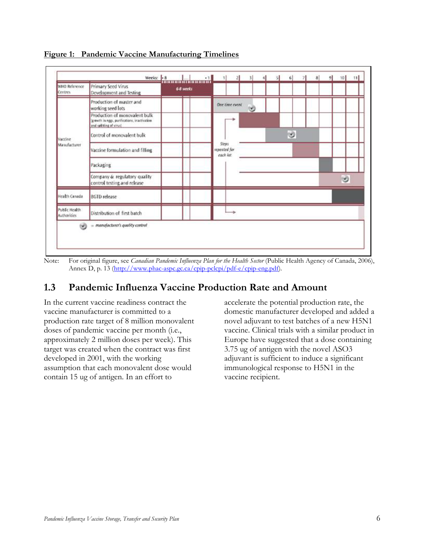

**Figure 1: Pandemic Vaccine Manufacturing Timelines**

Note: For original figure, see *Canadian Pandemic Influenza Plan for the Health Sector* (Public Health Agency of Canada, 2006), Annex D, p. 13 ([http://www.phac-aspc.gc.ca/cpip-pclcpi/pdf-e/cpip-eng.pdf\)](http://www.phac-aspc.gc.ca/cpip-pclcpi/pdf-e/cpip-eng.pdf).

### <span id="page-5-0"></span>**1.3 Pandemic Influenza Vaccine Production Rate and Amount**

In the current vaccine readiness contract the vaccine manufacturer is committed to a production rate target of 8 million monovalent doses of pandemic vaccine per month (i.e., approximately 2 million doses per week). This target was created when the contract was first developed in 2001, with the working assumption that each monovalent dose would contain 15 ug of antigen. In an effort to

accelerate the potential production rate, the domestic manufacturer developed and added a novel adjuvant to test batches of a new H5N1 vaccine. Clinical trials with a similar product in Europe have suggested that a dose containing 3.75 ug of antigen with the novel ASO3 adjuvant is sufficient to induce a significant immunological response to H5N1 in the vaccine recipient.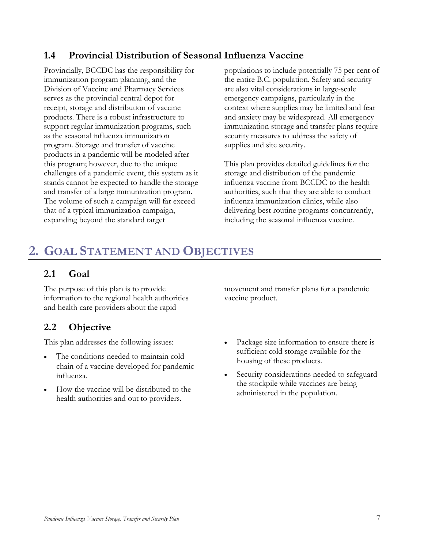### <span id="page-6-0"></span>**1.4 Provincial Distribution of Seasonal Influenza Vaccine**

Provincially, BCCDC has the responsibility for immunization program planning, and the Division of Vaccine and Pharmacy Services serves as the provincial central depot for receipt, storage and distribution of vaccine products. There is a robust infrastructure to support regular immunization programs, such as the seasonal influenza immunization program. Storage and transfer of vaccine products in a pandemic will be modeled after this program; however, due to the unique challenges of a pandemic event, this system as it stands cannot be expected to handle the storage and transfer of a large immunization program. The volume of such a campaign will far exceed that of a typical immunization campaign, expanding beyond the standard target

populations to include potentially 75 per cent of the entire B.C. population. Safety and security are also vital considerations in large-scale emergency campaigns, particularly in the context where supplies may be limited and fear and anxiety may be widespread. All emergency immunization storage and transfer plans require security measures to address the safety of supplies and site security.

This plan provides detailed guidelines for the storage and distribution of the pandemic influenza vaccine from BCCDC to the health authorities, such that they are able to conduct influenza immunization clinics, while also delivering best routine programs concurrently, including the seasonal influenza vaccine.

## <span id="page-6-1"></span>**2. GOAL STATEMENT AND OBJECTIVES**

### <span id="page-6-2"></span>**2.1 Goal**

The purpose of this plan is to provide information to the regional health authorities and health care providers about the rapid

### <span id="page-6-3"></span>**2.2 Objective**

This plan addresses the following issues:

- The conditions needed to maintain cold chain of a vaccine developed for pandemic influenza.
- How the vaccine will be distributed to the health authorities and out to providers.

movement and transfer plans for a pandemic vaccine product.

- Package size information to ensure there is sufficient cold storage available for the housing of these products.
- Security considerations needed to safeguard the stockpile while vaccines are being administered in the population.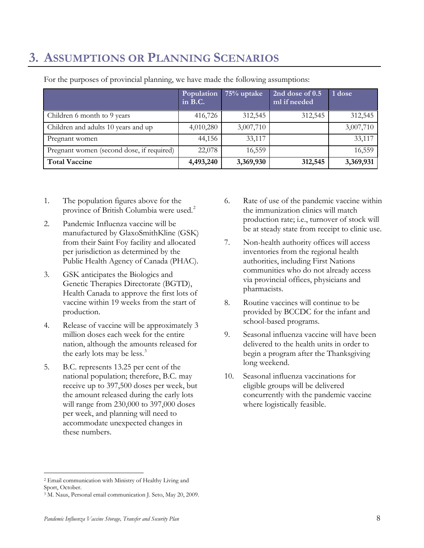## <span id="page-7-0"></span>**3. ASSUMPTIONS OR PLANNING SCENARIOS**

|                                           | Population<br>in B.C. | 75% uptake | 2nd dose of 0.5<br>ml if needed | 1 dose    |
|-------------------------------------------|-----------------------|------------|---------------------------------|-----------|
| Children 6 month to 9 years               | 416,726               | 312,545    | 312,545                         | 312,545   |
| Children and adults 10 years and up       | 4,010,280             | 3,007,710  |                                 | 3,007,710 |
| Pregnant women                            | 44,156                | 33,117     |                                 | 33,117    |
| Pregnant women (second dose, if required) | 22,078                | 16,559     |                                 | 16,559    |
| <b>Total Vaccine</b>                      | 4,493,240             | 3,369,930  | 312,545                         | 3,369,931 |

For the purposes of provincial planning, we have made the following assumptions:

- 1. The population figures above for the province of British Columbia were used. [2](#page-7-1)
- 2. Pandemic Influenza vaccine will be manufactured by GlaxoSmithKline (GSK) from their Saint Foy facility and allocated per jurisdiction as determined by the Public Health Agency of Canada (PHAC).
- 3. GSK anticipates the Biologics and Genetic Therapies Directorate (BGTD), Health Canada to approve the first lots of vaccine within 19 weeks from the start of production.
- 4. Release of vaccine will be approximately 3 million doses each week for the entire nation, although the amounts released for the early lots may be less.<sup>[3](#page-7-2)</sup>
- 5. B.C. represents 13.25 per cent of the national population; therefore, B.C. may receive up to 397,500 doses per week, but the amount released during the early lots will range from 230,000 to 397,000 doses per week, and planning will need to accommodate unexpected changes in these numbers.
- 6. Rate of use of the pandemic vaccine within the immunization clinics will match production rate; i.e., turnover of stock will be at steady state from receipt to clinic use.
- 7. Non-health authority offices will access inventories from the regional health authorities, including First Nations communities who do not already access via provincial offices, physicians and pharmacists.
- 8. Routine vaccines will continue to be provided by BCCDC for the infant and school-based programs.
- 9. Seasonal influenza vaccine will have been delivered to the health units in order to begin a program after the Thanksgiving long weekend.
- 10. Seasonal influenza vaccinations for eligible groups will be delivered concurrently with the pandemic vaccine where logistically feasible.

<span id="page-7-1"></span> <sup>2</sup> Email communication with Ministry of Healthy Living and Sport, October.

<span id="page-7-2"></span><sup>3</sup> M. Naus, Personal email communication J. Seto, May 20, 2009.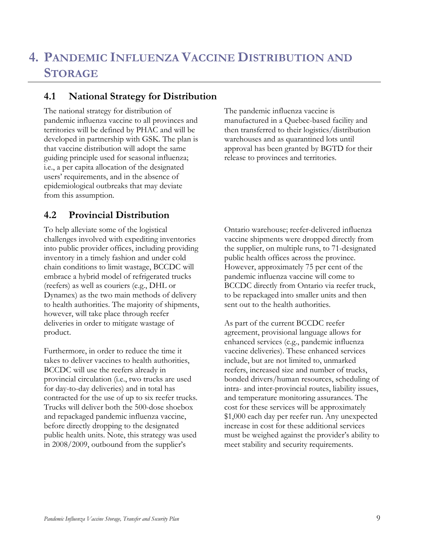## <span id="page-8-0"></span>**4. PANDEMIC INFLUENZA VACCINE DISTRIBUTION AND STORAGE**

### <span id="page-8-1"></span>**4.1 National Strategy for Distribution**

The national strategy for distribution of pandemic influenza vaccine to all provinces and territories will be defined by PHAC and will be developed in partnership with GSK. The plan is that vaccine distribution will adopt the same guiding principle used for seasonal influenza; i.e., a per capita allocation of the designated users' requirements, and in the absence of epidemiological outbreaks that may deviate from this assumption.

### <span id="page-8-2"></span>**4.2 Provincial Distribution**

To help alleviate some of the logistical challenges involved with expediting inventories into public provider offices, including providing inventory in a timely fashion and under cold chain conditions to limit wastage, BCCDC will embrace a hybrid model of refrigerated trucks (reefers) as well as couriers (e.g., DHL or Dynamex) as the two main methods of delivery to health authorities. The majority of shipments, however, will take place through reefer deliveries in order to mitigate wastage of product.

Furthermore, in order to reduce the time it takes to deliver vaccines to health authorities, BCCDC will use the reefers already in provincial circulation (i.e., two trucks are used for day-to-day deliveries) and in total has contracted for the use of up to six reefer trucks. Trucks will deliver both the 500-dose shoebox and repackaged pandemic influenza vaccine, before directly dropping to the designated public health units. Note, this strategy was used in 2008/2009, outbound from the supplier's

The pandemic influenza vaccine is manufactured in a Quebec-based facility and then transferred to their logistics/distribution warehouses and as quarantined lots until approval has been granted by BGTD for their release to provinces and territories.

Ontario warehouse; reefer-delivered influenza vaccine shipments were dropped directly from the supplier, on multiple runs, to 71-designated public health offices across the province. However, approximately 75 per cent of the pandemic influenza vaccine will come to BCCDC directly from Ontario via reefer truck, to be repackaged into smaller units and then sent out to the health authorities.

As part of the current BCCDC reefer agreement, provisional language allows for enhanced services (e.g., pandemic influenza vaccine deliveries). These enhanced services include, but are not limited to, unmarked reefers, increased size and number of trucks, bonded drivers/human resources, scheduling of intra- and inter-provincial routes, liability issues, and temperature monitoring assurances. The cost for these services will be approximately \$1,000 each day per reefer run. Any unexpected increase in cost for these additional services must be weighed against the provider's ability to meet stability and security requirements.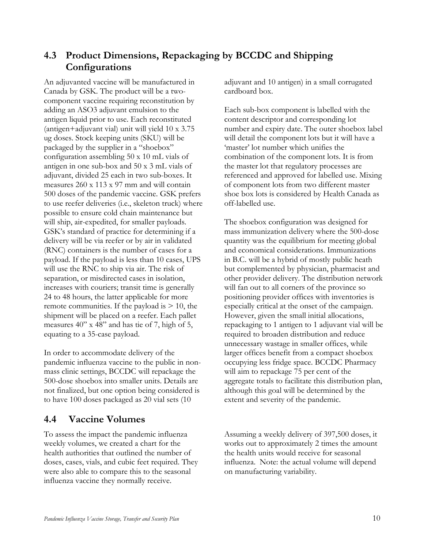### <span id="page-9-0"></span>**4.3 Product Dimensions, Repackaging by BCCDC and Shipping Configurations**

An adjuvanted vaccine will be manufactured in Canada by GSK. The product will be a twocomponent vaccine requiring reconstitution by adding an ASO3 adjuvant emulsion to the antigen liquid prior to use. Each reconstituted (antigen+adjuvant vial) unit will yield 10 x 3.75 ug doses. Stock keeping units (SKU) will be packaged by the supplier in a "shoebox" configuration assembling 50 x 10 mL vials of antigen in one sub-box and 50 x 3 mL vials of adjuvant, divided 25 each in two sub-boxes. It measures 260 x 113 x 97 mm and will contain 500 doses of the pandemic vaccine. GSK prefers to use reefer deliveries (i.e., skeleton truck) where possible to ensure cold chain maintenance but will ship, air-expedited, for smaller payloads. GSK's standard of practice for determining if a delivery will be via reefer or by air in validated (RNC) containers is the number of cases for a payload. If the payload is less than 10 cases, UPS will use the RNC to ship via air. The risk of separation, or misdirected cases in isolation, increases with couriers; transit time is generally 24 to 48 hours, the latter applicable for more remote communities. If the payload is  $> 10$ , the shipment will be placed on a reefer. Each pallet measures 40" x 48" and has tie of 7, high of 5, equating to a 35-case payload.

In order to accommodate delivery of the pandemic influenza vaccine to the public in nonmass clinic settings, BCCDC will repackage the 500-dose shoebox into smaller units. Details are not finalized, but one option being considered is to have 100 doses packaged as 20 vial sets (10

### <span id="page-9-1"></span>**4.4 Vaccine Volumes**

To assess the impact the pandemic influenza weekly volumes, we created a chart for the health authorities that outlined the number of doses, cases, vials, and cubic feet required. They were also able to compare this to the seasonal influenza vaccine they normally receive.

adjuvant and 10 antigen) in a small corrugated cardboard box.

Each sub-box component is labelled with the content descriptor and corresponding lot number and expiry date. The outer shoebox label will detail the component lots but it will have a 'master' lot number which unifies the combination of the component lots. It is from the master lot that regulatory processes are referenced and approved for labelled use. Mixing of component lots from two different master shoe box lots is considered by Health Canada as off-labelled use.

The shoebox configuration was designed for mass immunization delivery where the 500-dose quantity was the equilibrium for meeting global and economical considerations. Immunizations in B.C. will be a hybrid of mostly public heath but complemented by physician, pharmacist and other provider delivery. The distribution network will fan out to all corners of the province so positioning provider offices with inventories is especially critical at the onset of the campaign. However, given the small initial allocations, repackaging to 1 antigen to 1 adjuvant vial will be required to broaden distribution and reduce unnecessary wastage in smaller offices, while larger offices benefit from a compact shoebox occupying less fridge space. BCCDC Pharmacy will aim to repackage 75 per cent of the aggregate totals to facilitate this distribution plan, although this goal will be determined by the extent and severity of the pandemic.

Assuming a weekly delivery of 397,500 doses, it works out to approximately 2 times the amount the health units would receive for seasonal influenza. Note: the actual volume will depend on manufacturing variability.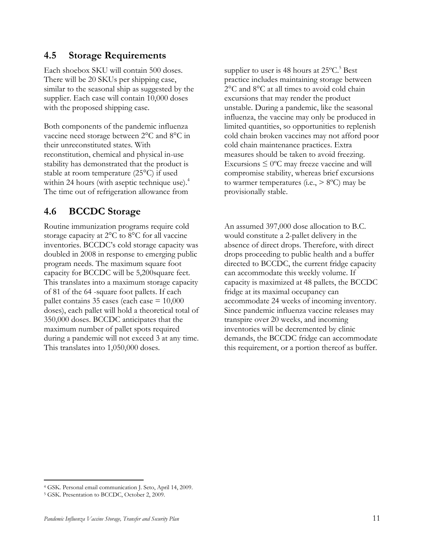#### <span id="page-10-0"></span>**4.5 Storage Requirements**

Each shoebox SKU will contain 500 doses. There will be 20 SKUs per shipping case, similar to the seasonal ship as suggested by the supplier. Each case will contain 10,000 doses with the proposed shipping case.

Both components of the pandemic influenza vaccine need storage between 2°C and 8°C in their unreconstituted states. With reconstitution, chemical and physical in-use stability has demonstrated that the product is stable at room temperature (25°C) if used within 24 hours (with aseptic technique use).<sup>4</sup> The time out of refrigeration allowance from

### <span id="page-10-1"></span>**4.6 BCCDC Storage**

Routine immunization programs require cold storage capacity at 2°C to 8°C for all vaccine inventories. BCCDC's cold storage capacity was doubled in 2008 in response to emerging public program needs. The maximum square foot capacity for BCCDC will be 5,200square feet. This translates into a maximum storage capacity of 81 of the 64 -square foot pallets. If each pallet contains 35 cases (each case  $= 10,000$ doses), each pallet will hold a theoretical total of 350,000 doses. BCCDC anticipates that the maximum number of pallet spots required during a pandemic will not exceed 3 at any time. This translates into 1,050,000 doses.

supplier to user is 48 hours at  $25^{\circ}$ C.<sup>5</sup> Best practice includes maintaining storage between 2°C and 8°C at all times to avoid cold chain excursions that may render the product unstable. During a pandemic, like the seasonal influenza, the vaccine may only be produced in limited quantities, so opportunities to replenish cold chain broken vaccines may not afford poor cold chain maintenance practices. Extra measures should be taken to avoid freezing. Excursions  $\leq 0$ °C may freeze vaccine and will compromise stability, whereas brief excursions to warmer temperatures (i.e.,  $> 8^{\circ}$ C) may be provisionally stable.

An assumed 397,000 dose allocation to B.C. would constitute a 2-pallet delivery in the absence of direct drops. Therefore, with direct drops proceeding to public health and a buffer directed to BCCDC, the current fridge capacity can accommodate this weekly volume. If capacity is maximized at 48 pallets, the BCCDC fridge at its maximal occupancy can accommodate 24 weeks of incoming inventory. Since pandemic influenza vaccine releases may transpire over 20 weeks, and incoming inventories will be decremented by clinic demands, the BCCDC fridge can accommodate this requirement, or a portion thereof as buffer.

 <sup>4</sup> GSK. Personal email communication J. Seto, April 14, 2009.

<sup>5</sup> GSK. Presentation to BCCDC, October 2, 2009.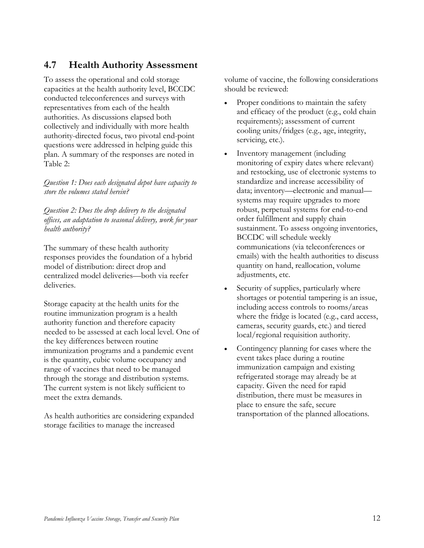#### <span id="page-11-0"></span>**4.7 Health Authority Assessment**

To assess the operational and cold storage capacities at the health authority level, BCCDC conducted teleconferences and surveys with representatives from each of the health authorities. As discussions elapsed both collectively and individually with more health authority-directed focus, two pivotal end-point questions were addressed in helping guide this plan. A summary of the responses are noted in Table 2:

*Question 1: Does each designated depot have capacity to store the volumes stated herein?*

*Question 2: Does the drop delivery to the designated offices, an adaptation to seasonal delivery, work for your health authority?*

The summary of these health authority responses provides the foundation of a hybrid model of distribution: direct drop and centralized model deliveries—both via reefer deliveries.

Storage capacity at the health units for the routine immunization program is a health authority function and therefore capacity needed to be assessed at each local level. One of the key differences between routine immunization programs and a pandemic event is the quantity, cubic volume occupancy and range of vaccines that need to be managed through the storage and distribution systems. The current system is not likely sufficient to meet the extra demands.

As health authorities are considering expanded storage facilities to manage the increased

volume of vaccine, the following considerations should be reviewed:

- Proper conditions to maintain the safety and efficacy of the product (e.g., cold chain requirements); assessment of current cooling units/fridges (e.g., age, integrity, servicing, etc.).
- Inventory management (including monitoring of expiry dates where relevant) and restocking, use of electronic systems to standardize and increase accessibility of data; inventory—electronic and manual systems may require upgrades to more robust, perpetual systems for end-to-end order fulfillment and supply chain sustainment. To assess ongoing inventories, BCCDC will schedule weekly communications (via teleconferences or emails) with the health authorities to discuss quantity on hand, reallocation, volume adjustments, etc.
- Security of supplies, particularly where shortages or potential tampering is an issue, including access controls to rooms/areas where the fridge is located (e.g., card access, cameras, security guards, etc.) and tiered local/regional requisition authority.
- Contingency planning for cases where the event takes place during a routine immunization campaign and existing refrigerated storage may already be at capacity. Given the need for rapid distribution, there must be measures in place to ensure the safe, secure transportation of the planned allocations.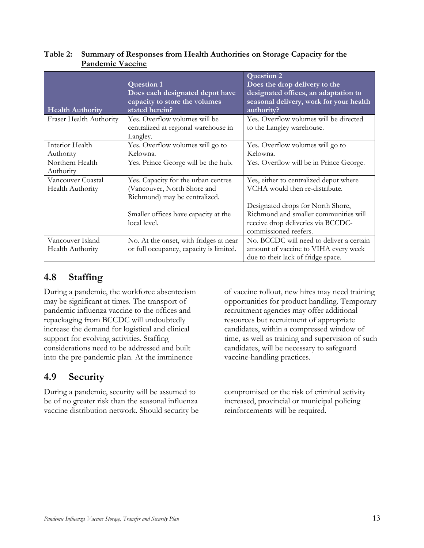| <b>Health Authority</b>              | <b>Question 1</b><br>Does each designated depot have<br>capacity to store the volumes<br>stated herein? | <b>Question 2</b><br>Does the drop delivery to the<br>designated offices, an adaptation to<br>seasonal delivery, work for your health<br>authority? |
|--------------------------------------|---------------------------------------------------------------------------------------------------------|-----------------------------------------------------------------------------------------------------------------------------------------------------|
| Fraser Health Authority              | Yes. Overflow volumes will be<br>centralized at regional warehouse in<br>Langley.                       | Yes. Overflow volumes will be directed<br>to the Langley warehouse.                                                                                 |
| Interior Health                      | Yes. Overflow volumes will go to                                                                        | Yes. Overflow volumes will go to                                                                                                                    |
| Authority                            | Kelowna.                                                                                                | Kelowna.                                                                                                                                            |
| Northern Health<br>Authority         | Yes. Prince George will be the hub.                                                                     | Yes. Overflow will be in Prince George.                                                                                                             |
| Vancouver Coastal                    | Yes. Capacity for the urban centres                                                                     | Yes, either to centralized depot where                                                                                                              |
| Health Authority                     | (Vancouver, North Shore and<br>Richmond) may be centralized.                                            | VCHA would then re-distribute.                                                                                                                      |
|                                      | Smaller offices have capacity at the<br>local level.                                                    | Designated drops for North Shore,<br>Richmond and smaller communities will<br>receive drop deliveries via BCCDC-<br>commissioned reefers.           |
| Vancouver Island<br>Health Authority | No. At the onset, with fridges at near<br>or full occupancy, capacity is limited.                       | No. BCCDC will need to deliver a certain<br>amount of vaccine to VIHA every week<br>due to their lack of fridge space.                              |

#### **Table 2: Summary of Responses from Health Authorities on Storage Capacity for the Pandemic Vaccine**

### <span id="page-12-0"></span>**4.8 Staffing**

During a pandemic, the workforce absenteeism may be significant at times. The transport of pandemic influenza vaccine to the offices and repackaging from BCCDC will undoubtedly increase the demand for logistical and clinical support for evolving activities. Staffing considerations need to be addressed and built into the pre-pandemic plan. At the imminence

### <span id="page-12-1"></span>**4.9 Security**

During a pandemic, security will be assumed to be of no greater risk than the seasonal influenza vaccine distribution network. Should security be of vaccine rollout, new hires may need training opportunities for product handling. Temporary recruitment agencies may offer additional resources but recruitment of appropriate candidates, within a compressed window of time, as well as training and supervision of such candidates, will be necessary to safeguard vaccine-handling practices.

compromised or the risk of criminal activity increased, provincial or municipal policing reinforcements will be required.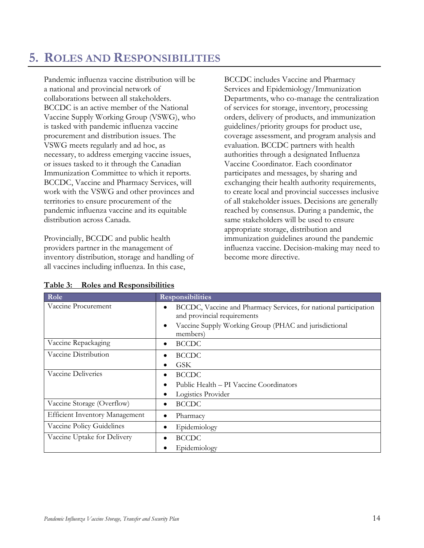### <span id="page-13-0"></span>**5. ROLES AND RESPONSIBILITIES**

Pandemic influenza vaccine distribution will be a national and provincial network of collaborations between all stakeholders. BCCDC is an active member of the National Vaccine Supply Working Group (VSWG), who is tasked with pandemic influenza vaccine procurement and distribution issues. The VSWG meets regularly and ad hoc, as necessary, to address emerging vaccine issues, or issues tasked to it through the Canadian Immunization Committee to which it reports. BCCDC, Vaccine and Pharmacy Services, will work with the VSWG and other provinces and territories to ensure procurement of the pandemic influenza vaccine and its equitable distribution across Canada.

Provincially, BCCDC and public health providers partner in the management of inventory distribution, storage and handling of all vaccines including influenza. In this case,

BCCDC includes Vaccine and Pharmacy Services and Epidemiology/Immunization Departments, who co-manage the centralization of services for storage, inventory, processing orders, delivery of products, and immunization guidelines/priority groups for product use, coverage assessment, and program analysis and evaluation. BCCDC partners with health authorities through a designated Influenza Vaccine Coordinator. Each coordinator participates and messages, by sharing and exchanging their health authority requirements, to create local and provincial successes inclusive of all stakeholder issues. Decisions are generally reached by consensus. During a pandemic, the same stakeholders will be used to ensure appropriate storage, distribution and immunization guidelines around the pandemic influenza vaccine. Decision-making may need to become more directive.

| Role                                  | <b>Responsibilities</b>                                                                         |
|---------------------------------------|-------------------------------------------------------------------------------------------------|
| Vaccine Procurement                   | BCCDC, Vaccine and Pharmacy Services, for national participation<br>and provincial requirements |
|                                       | Vaccine Supply Working Group (PHAC and jurisdictional<br>members)                               |
| Vaccine Repackaging                   | <b>BCCDC</b><br>٠                                                                               |
| Vaccine Distribution                  | <b>BCCDC</b>                                                                                    |
|                                       | <b>GSK</b>                                                                                      |
| Vaccine Deliveries                    | <b>BCCDC</b>                                                                                    |
|                                       | Public Health – PI Vaccine Coordinators                                                         |
|                                       | Logistics Provider                                                                              |
| Vaccine Storage (Overflow)            | <b>BCCDC</b><br>٠                                                                               |
| <b>Efficient Inventory Management</b> | Pharmacy                                                                                        |
| Vaccine Policy Guidelines             | Epidemiology                                                                                    |
| Vaccine Uptake for Delivery           | <b>BCCDC</b>                                                                                    |
|                                       | Epidemiology                                                                                    |

|  | Table 3: Roles and Responsibilities |
|--|-------------------------------------|
|  |                                     |